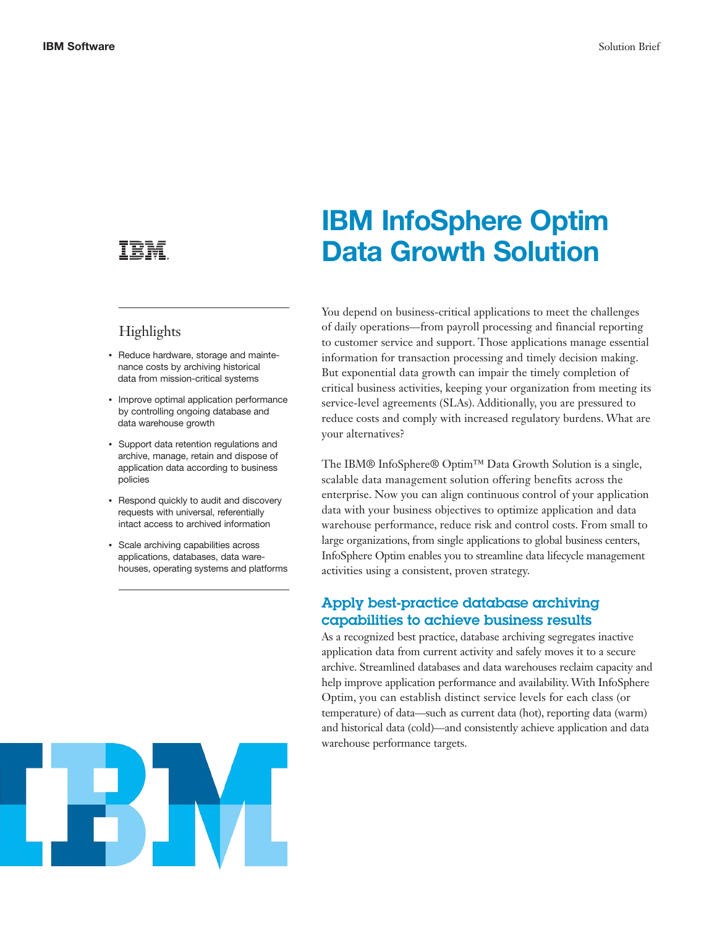## Highlights

- Reduce hardware, storage and maintenance costs by archiving historical data from mission-critical systems
- Improve optimal application performance by controlling ongoing database and data warehouse growth
- Support data retention regulations and archive, manage, retain and dispose of application data according to business policies
- Respond quickly to audit and discovery requests with universal, referentially intact access to archived information
- Scale archiving capabilities across applications, databases, data warehouses, operating systems and platforms



# IBM InfoSphere Optim Data Growth Solution

You depend on business-critical applications to meet the challenges of daily operations—from payroll processing and financial reporting to customer service and support. Those applications manage essential information for transaction processing and timely decision making. But exponential data growth can impair the timely completion of critical business activities, keeping your organization from meeting its service-level agreements (SLAs). Additionally, you are pressured to reduce costs and comply with increased regulatory burdens. What are your alternatives?

The IBM® InfoSphere® Optim™ Data Growth Solution is a single, scalable data management solution offering benefits across the enterprise. Now you can align continuous control of your application data with your business objectives to optimize application and data warehouse performance, reduce risk and control costs. From small to large organizations, from single applications to global business centers, InfoSphere Optim enables you to streamline data lifecycle management activities using a consistent, proven strategy.

#### Apply best-practice database archiving capabilities to achieve business results

As a recognized best practice, database archiving segregates inactive application data from current activity and safely moves it to a secure archive. Streamlined databases and data warehouses reclaim capacity and help improve application performance and availability. With InfoSphere Optim, you can establish distinct service levels for each class (or temperature) of data—such as current data (hot), reporting data (warm) and historical data (cold)—and consistently achieve application and data warehouse performance targets.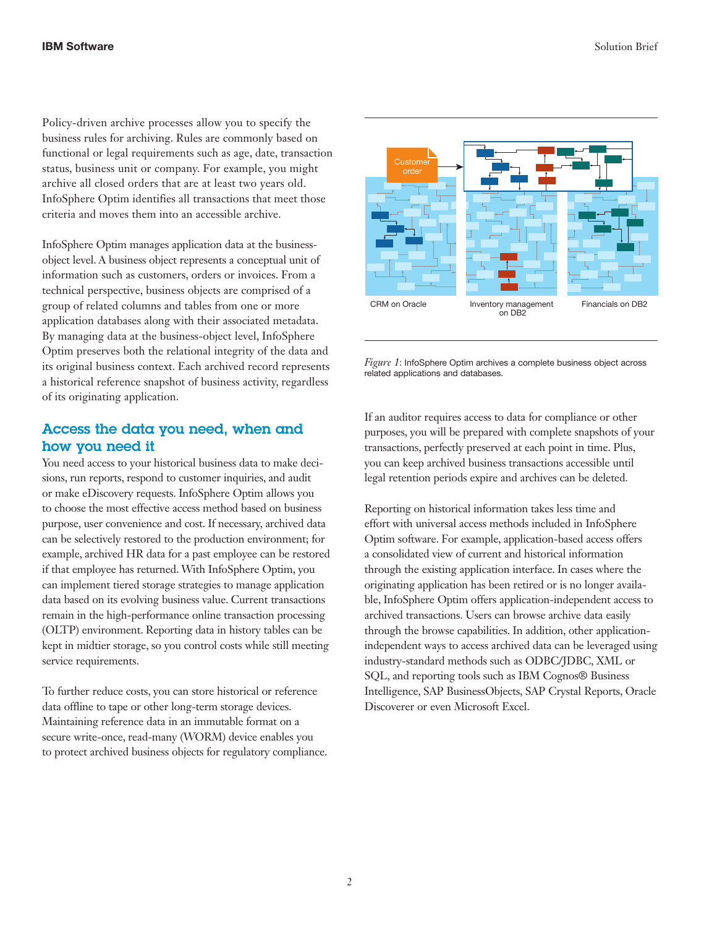Policy-driven archive processes allow you to specify the business rules for archiving. Rules are commonly based on functional or legal requirements such as age, date, transaction status, business unit or company. For example, you might archive all closed orders that are at least two years old. InfoSphere Optim identifies all transactions that meet those criteria and moves them into an accessible archive.

InfoSphere Optim manages application data at the businessobject level. A business object represents a conceptual unit of information such as customers, orders or invoices. From a technical perspective, business objects are comprised of a group of related columns and tables from one or more application databases along with their associated metadata. By managing data at the business-object level, InfoSphere Optim preserves both the relational integrity of the data and its original business context. Each archived record represents a historical reference snapshot of business activity, regardless of its originating application.

### Access the data you need, when and how you need it

You need access to your historical business data to make decisions, run reports, respond to customer inquiries, and audit or make eDiscovery requests. InfoSphere Optim allows you to choose the most effective access method based on business purpose, user convenience and cost. If necessary, archived data can be selectively restored to the production environment; for example, archived HR data for a past employee can be restored if that employee has returned. With InfoSphere Optim, you can implement tiered storage strategies to manage application data based on its evolving business value. Current transactions remain in the high-performance online transaction processing (OLTP) environment. Reporting data in history tables can be kept in midtier storage, so you control costs while still meeting service requirements.

To further reduce costs, you can store historical or reference data offline to tape or other long-term storage devices. Maintaining reference data in an immutable format on a secure write-once, read-many (WORM) device enables you to protect archived business objects for regulatory compliance.



*Figure 1*: InfoSphere Optim archives a complete business object across related applications and databases.

If an auditor requires access to data for compliance or other purposes, you will be prepared with complete snapshots of your transactions, perfectly preserved at each point in time. Plus, you can keep archived business transactions accessible until legal retention periods expire and archives can be deleted.

Reporting on historical information takes less time and effort with universal access methods included in InfoSphere Optim software. For example, application-based access offers a consolidated view of current and historical information through the existing application interface. In cases where the originating application has been retired or is no longer available, InfoSphere Optim offers application-independent access to archived transactions. Users can browse archive data easily through the browse capabilities. In addition, other applicationindependent ways to access archived data can be leveraged using industry-standard methods such as ODBC/JDBC, XML or SQL, and reporting tools such as IBM Cognos® Business Intelligence, SAP BusinessObjects, SAP Crystal Reports, Oracle Discoverer or even Microsoft Excel.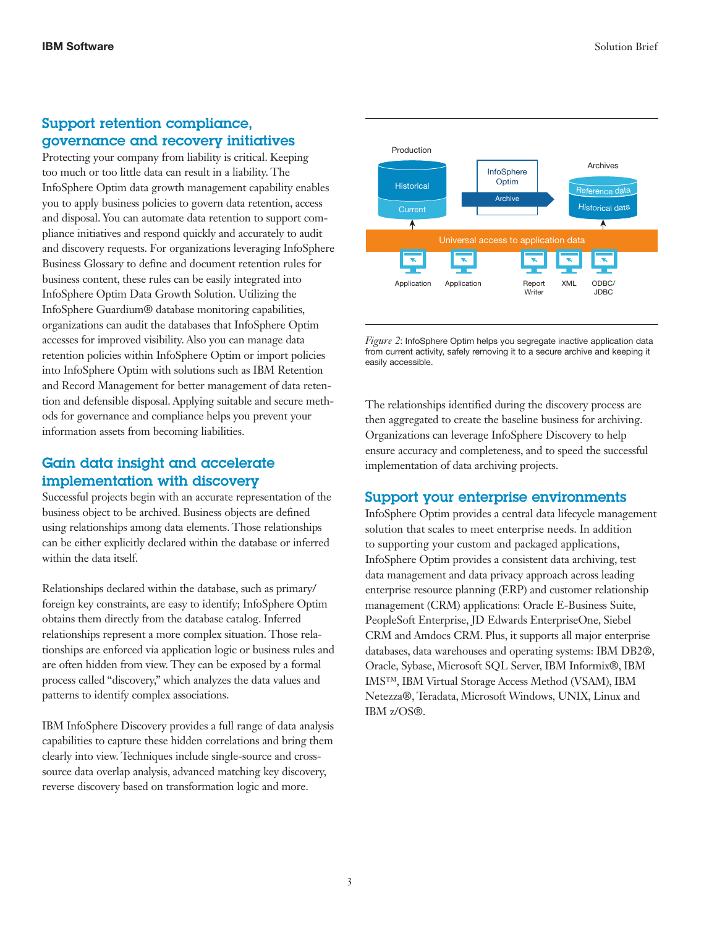#### Support retention compliance, governance and recovery initiatives

Protecting your company from liability is critical. Keeping too much or too little data can result in a liability. The InfoSphere Optim data growth management capability enables you to apply business policies to govern data retention, access and disposal. You can automate data retention to support compliance initiatives and respond quickly and accurately to audit and discovery requests. For organizations leveraging InfoSphere Business Glossary to define and document retention rules for business content, these rules can be easily integrated into InfoSphere Optim Data Growth Solution. Utilizing the InfoSphere Guardium® database monitoring capabilities, organizations can audit the databases that InfoSphere Optim accesses for improved visibility. Also you can manage data retention policies within InfoSphere Optim or import policies into InfoSphere Optim with solutions such as IBM Retention and Record Management for better management of data retention and defensible disposal. Applying suitable and secure methods for governance and compliance helps you prevent your information assets from becoming liabilities.

#### Gain data insight and accelerate implementation with discovery

Successful projects begin with an accurate representation of the business object to be archived. Business objects are defined using relationships among data elements. Those relationships can be either explicitly declared within the database or inferred within the data itself.

Relationships declared within the database, such as primary/ foreign key constraints, are easy to identify; InfoSphere Optim obtains them directly from the database catalog. Inferred relationships represent a more complex situation. Those relationships are enforced via application logic or business rules and are often hidden from view. They can be exposed by a formal process called "discovery," which analyzes the data values and patterns to identify complex associations.

IBM InfoSphere Discovery provides a full range of data analysis capabilities to capture these hidden correlations and bring them clearly into view. Techniques include single-source and crosssource data overlap analysis, advanced matching key discovery, reverse discovery based on transformation logic and more.



*Figure 2*: InfoSphere Optim helps you segregate inactive application data from current activity, safely removing it to a secure archive and keeping it easily accessible.

The relationships identified during the discovery process are then aggregated to create the baseline business for archiving. Organizations can leverage InfoSphere Discovery to help ensure accuracy and completeness, and to speed the successful implementation of data archiving projects.

#### Support your enterprise environments

InfoSphere Optim provides a central data lifecycle management solution that scales to meet enterprise needs. In addition to supporting your custom and packaged applications, InfoSphere Optim provides a consistent data archiving, test data management and data privacy approach across leading enterprise resource planning (ERP) and customer relationship management (CRM) applications: Oracle E-Business Suite, PeopleSoft Enterprise, JD Edwards EnterpriseOne, Siebel CRM and Amdocs CRM. Plus, it supports all major enterprise databases, data warehouses and operating systems: IBM DB2®, Oracle, Sybase, Microsoft SQL Server, IBM Informix®, IBM IMS™, IBM Virtual Storage Access Method (VSAM), IBM Netezza®, Teradata, Microsoft Windows, UNIX, Linux and IBM z/OS®.